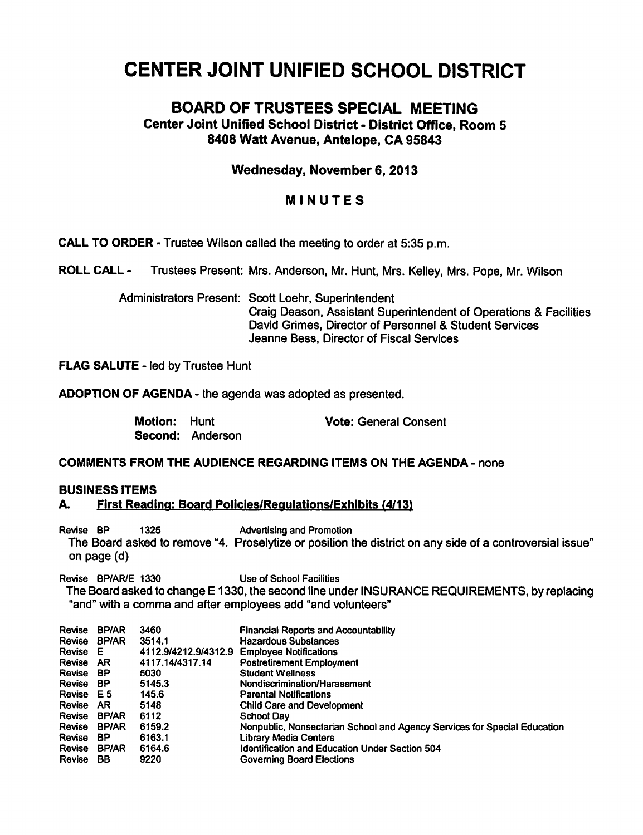# CENTER JOINT UNIFIED SCHOOL DISTRICT

# BOARD OF TRUSTEES SPECIAL MEETING Center Joint Unified School District - District Office, Room 5 8408 Watt Avenue, Antelope, CA 95843

## Wednesday, November 6,2013

# MINUTES

CALL TO ORDER - Trustee Wilson called the meeting to order at 5:35 p.m.

ROLL CALL - Trustees Present: Mrs. Anderson, Mr. Hunt, Mrs. Kelley, Mrs. Pope, Mr. Wilson

Administrators Present: Scott Loehr, Superintendent Craig Deason, Assistant Superintendent of Operations & Facilities David Grimes, Director of Personnel & Student Services Jeanne Bess, Director of Fiscal Services

FLAG SALUTE - led by Trustee Hunt

ADOPTION OF AGENDA - the agenda was adopted as presented.

| <b>Motion: Hunt</b> |                  | <b>Vote: General Consent</b> |
|---------------------|------------------|------------------------------|
|                     | Second: Anderson |                              |

### COMMENTS FROM THE AUDIENCE REGARDING ITEMS ON THE AGENDA - none

### BUSINESS ITEMS

#### A. First Reading: Board Policies/Reaulations/Exhibits (4/13)

Revise BP 1325 Advertising and Promotion The Board asked to remove "4. Proselytize or position the district on any side of a controversial issue" on page (d)

Revise BP/AR/E 1330 Use of School Facilities

The Board asked to change E 1330, the second line under INSURANCE REQUIREMENTS, by replacing "and" with a comma and after employees add "and volunteers"

| Revise       | <b>BP/AR</b> | 3460                 | <b>Financial Reports and Accountability</b>                              |
|--------------|--------------|----------------------|--------------------------------------------------------------------------|
| Revise BP/AR |              | 3514.1               | <b>Hazardous Substances</b>                                              |
| Revise E     |              | 4112.9/4212.9/4312.9 | <b>Employee Notifications</b>                                            |
| Revise AR    |              | 4117.14/4317.14      | <b>Postretirement Employment</b>                                         |
| Revise       | ВP           | 5030                 | <b>Student Wellness</b>                                                  |
| Revise BP    |              | 5145.3               | Nondiscrimination/Harassment                                             |
| Revise E5    |              | 145.6                | <b>Parental Notifications</b>                                            |
| Revise AR    |              | 5148                 | <b>Child Care and Development</b>                                        |
| Revise       | <b>BP/AR</b> | 6112                 | School Dav                                                               |
| Revise       | <b>BP/AR</b> | 6159.2               | Nonpublic, Nonsectarian School and Agency Services for Special Education |
| Revise       | ВP           | 6163.1               | Library Media Centers                                                    |
| Revise       | <b>BP/AR</b> | 6164.6               | <b>Identification and Education Under Section 504</b>                    |
| Revise       | BB           | 9220                 | Governing Board Elections                                                |